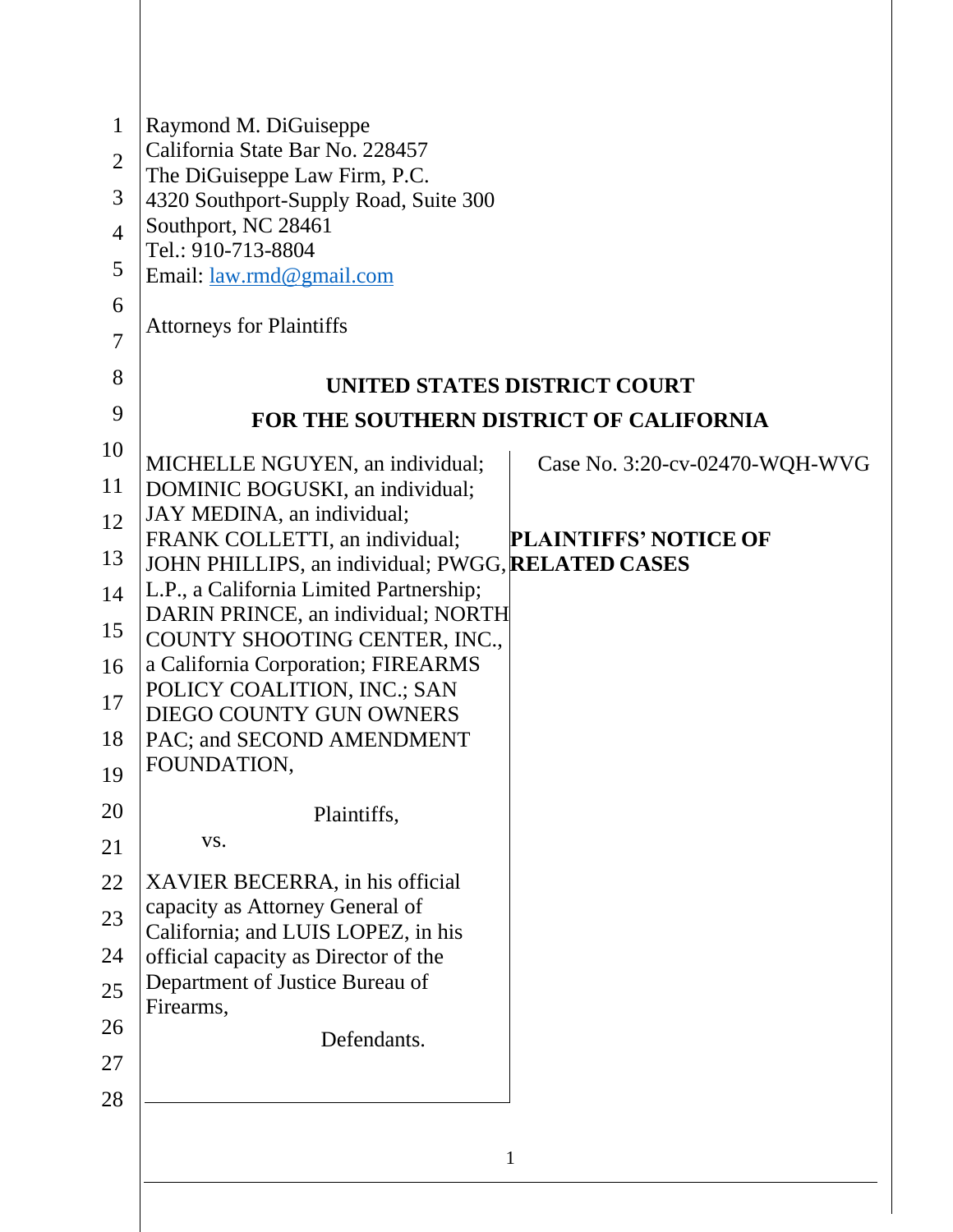| $\mathbf{1}$<br>$\overline{2}$<br>3<br>$\overline{4}$ | Raymond M. DiGuiseppe<br>California State Bar No. 228457<br>The DiGuiseppe Law Firm, P.C.<br>4320 Southport-Supply Road, Suite 300<br>Southport, NC 28461 |                                |
|-------------------------------------------------------|-----------------------------------------------------------------------------------------------------------------------------------------------------------|--------------------------------|
| 5                                                     | Tel.: 910-713-8804<br>Email: <u>law.rmd@gmail.com</u>                                                                                                     |                                |
| 6<br>$\overline{7}$                                   | <b>Attorneys for Plaintiffs</b>                                                                                                                           |                                |
| 8                                                     | UNITED STATES DISTRICT COURT                                                                                                                              |                                |
| 9                                                     | FOR THE SOUTHERN DISTRICT OF CALIFORNIA                                                                                                                   |                                |
| 10                                                    |                                                                                                                                                           |                                |
| 11                                                    | MICHELLE NGUYEN, an individual;<br>DOMINIC BOGUSKI, an individual;                                                                                        | Case No. 3:20-cv-02470-WQH-WVG |
| 12                                                    | JAY MEDINA, an individual;<br>FRANK COLLETTI, an individual;                                                                                              | <b>PLAINTIFFS' NOTICE OF</b>   |
| 13                                                    | JOHN PHILLIPS, an individual; PWGG, RELATED CASES                                                                                                         |                                |
| 14                                                    | L.P., a California Limited Partnership;                                                                                                                   |                                |
| 15                                                    | DARIN PRINCE, an individual; NORTH<br>COUNTY SHOOTING CENTER, INC.,                                                                                       |                                |
| 16                                                    | a California Corporation; FIREARMS                                                                                                                        |                                |
| 17                                                    | POLICY COALITION, INC.; SAN<br>DIEGO COUNTY GUN OWNERS                                                                                                    |                                |
| 18                                                    | PAC; and SECOND AMENDMENT                                                                                                                                 |                                |
| 19                                                    | FOUNDATION,                                                                                                                                               |                                |
| 20                                                    | Plaintiffs,                                                                                                                                               |                                |
| 21                                                    | VS.                                                                                                                                                       |                                |
| 22                                                    | XAVIER BECERRA, in his official                                                                                                                           |                                |
| 23                                                    | capacity as Attorney General of<br>California; and LUIS LOPEZ, in his                                                                                     |                                |
| 24                                                    | official capacity as Director of the                                                                                                                      |                                |
| 25                                                    | Department of Justice Bureau of                                                                                                                           |                                |
| 26                                                    | Firearms,<br>Defendants.                                                                                                                                  |                                |
| 27                                                    |                                                                                                                                                           |                                |
| 28                                                    |                                                                                                                                                           |                                |
|                                                       |                                                                                                                                                           |                                |
|                                                       | $\mathbf{1}$                                                                                                                                              |                                |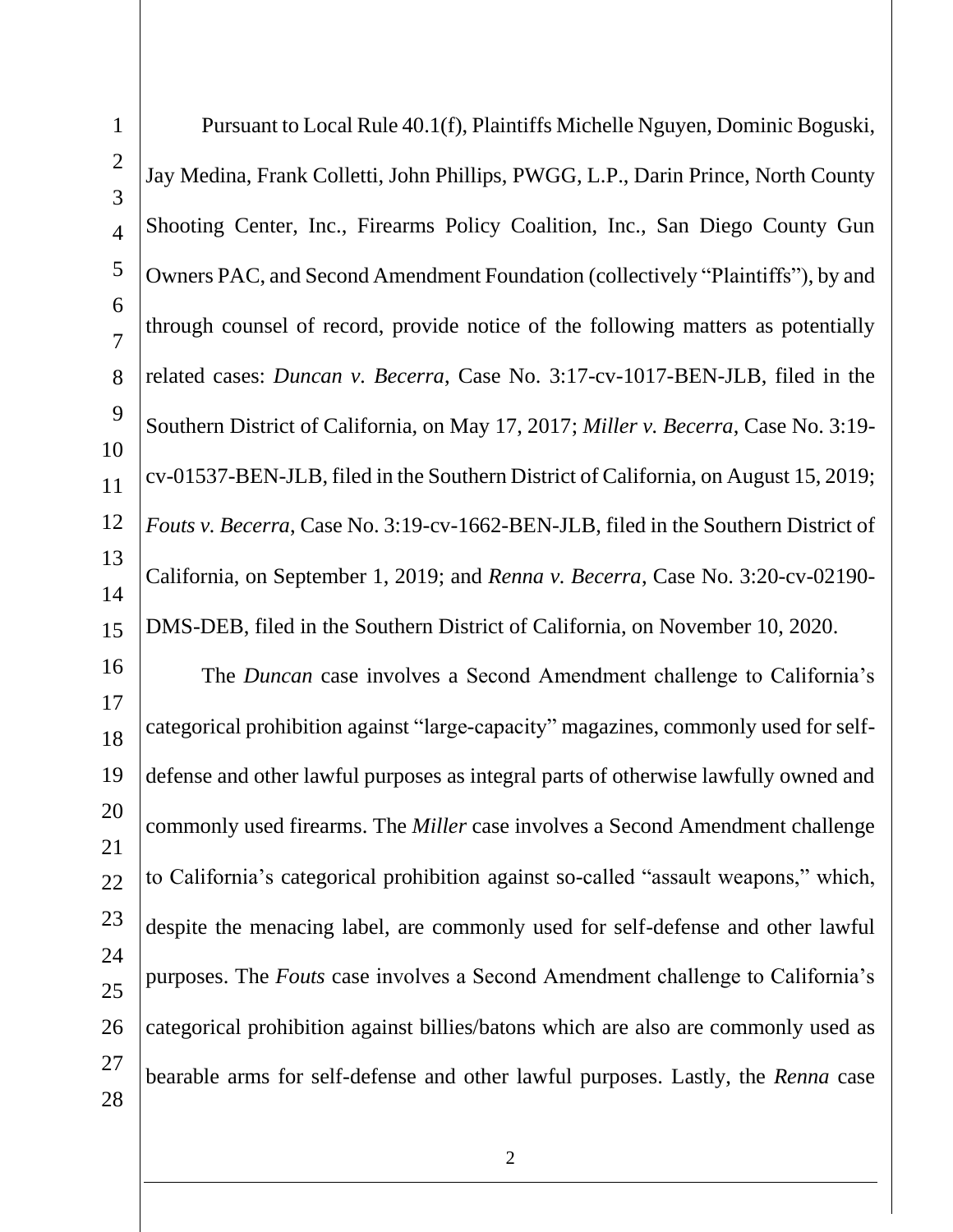1 2 3 4 5 6 7 8 9 10 11 12 13 14 15 16 17 18 19 20 21 22 23 24 25 26 27 28 Pursuant to Local Rule 40.1(f), Plaintiffs Michelle Nguyen, Dominic Boguski, Jay Medina, Frank Colletti, John Phillips, PWGG, L.P., Darin Prince, North County Shooting Center, Inc., Firearms Policy Coalition, Inc., San Diego County Gun Owners PAC, and Second Amendment Foundation (collectively "Plaintiffs"), by and through counsel of record, provide notice of the following matters as potentially related cases: *Duncan v. Becerra*, Case No. 3:17-cv-1017-BEN-JLB, filed in the Southern District of California, on May 17, 2017; *Miller v. Becerra*, Case No. 3:19 cv-01537-BEN-JLB, filed in the Southern District of California, on August 15, 2019; *Fouts v. Becerra*, Case No. 3:19-cv-1662-BEN-JLB, filed in the Southern District of California, on September 1, 2019; and *Renna v. Becerra*, Case No. 3:20-cv-02190- DMS-DEB, filed in the Southern District of California, on November 10, 2020. The *Duncan* case involves a Second Amendment challenge to California's categorical prohibition against "large-capacity" magazines, commonly used for selfdefense and other lawful purposes as integral parts of otherwise lawfully owned and commonly used firearms. The *Miller* case involves a Second Amendment challenge to California's categorical prohibition against so-called "assault weapons," which, despite the menacing label, are commonly used for self-defense and other lawful purposes. The *Fouts* case involves a Second Amendment challenge to California's categorical prohibition against billies/batons which are also are commonly used as bearable arms for self-defense and other lawful purposes. Lastly, the *Renna* case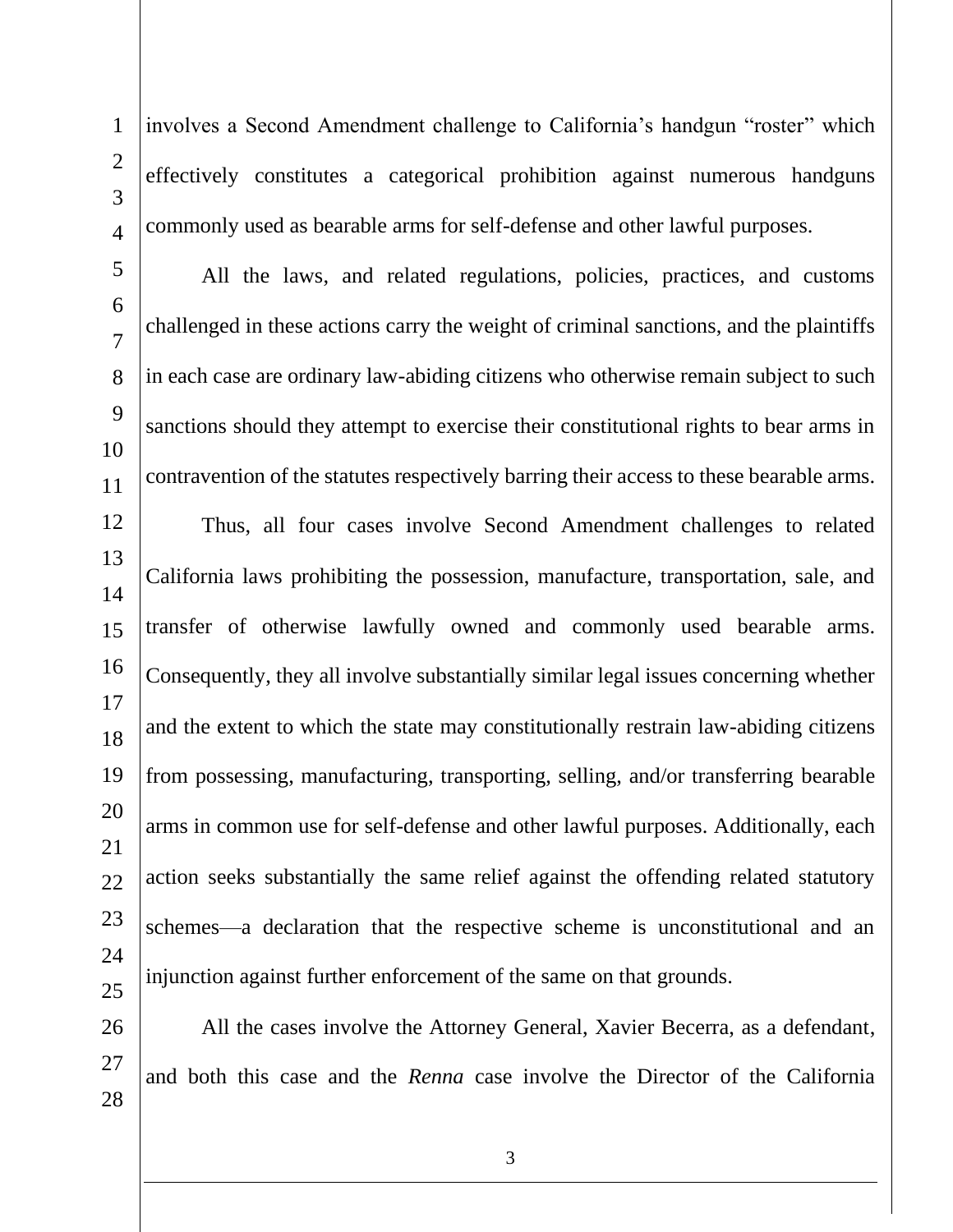1  $\mathcal{D}_{\mathcal{L}}$ 3 4 involves a Second Amendment challenge to California's handgun "roster" which effectively constitutes a categorical prohibition against numerous handguns commonly used as bearable arms for self-defense and other lawful purposes.

5 6 7 8 9 10 11 12 13 14 15 16 17 18 19 20 21 22 23 All the laws, and related regulations, policies, practices, and customs challenged in these actions carry the weight of criminal sanctions, and the plaintiffs in each case are ordinary law-abiding citizens who otherwise remain subject to such sanctions should they attempt to exercise their constitutional rights to bear arms in contravention of the statutes respectively barring their access to these bearable arms. Thus, all four cases involve Second Amendment challenges to related California laws prohibiting the possession, manufacture, transportation, sale, and transfer of otherwise lawfully owned and commonly used bearable arms. Consequently, they all involve substantially similar legal issues concerning whether and the extent to which the state may constitutionally restrain law-abiding citizens from possessing, manufacturing, transporting, selling, and/or transferring bearable arms in common use for self-defense and other lawful purposes. Additionally, each action seeks substantially the same relief against the offending related statutory schemes—a declaration that the respective scheme is unconstitutional and an

24

25

26 27 28 All the cases involve the Attorney General, Xavier Becerra, as a defendant, and both this case and the *Renna* case involve the Director of the California

injunction against further enforcement of the same on that grounds.